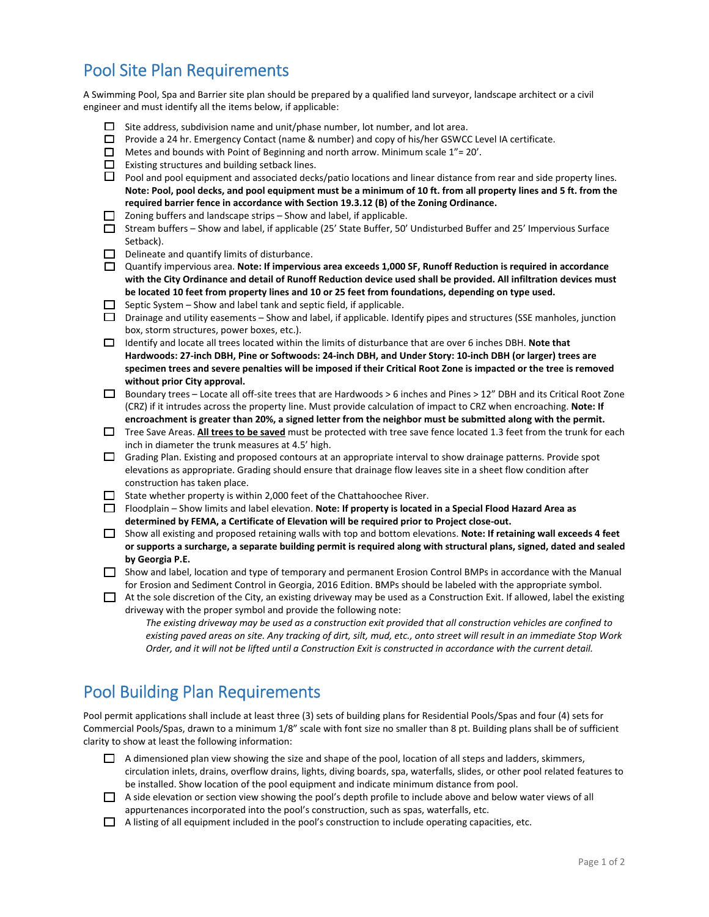# Pool Site Plan Requirements

A Swimming Pool, Spa and Barrier site plan should be prepared by a qualified land surveyor, landscape architect or a civil engineer and must identify all the items below, if applicable:

- $\Box$  Site address, subdivision name and unit/phase number, lot number, and lot area.
- Provide a 24 hr. Emergency Contact (name & number) and copy of his/her GSWCC Level IA certificate.
- $\Box$  Metes and bounds with Point of Beginning and north arrow. Minimum scale  $1"$  = 20'.
- $\Box$  Existing structures and building setback lines.
- $\Box$  Pool and pool equipment and associated decks/patio locations and linear distance from rear and side property lines. **Note: Pool, pool decks, and pool equipment must be a minimum of 10 ft. from all property lines and 5 ft. from the required barrier fence in accordance with Section 19.3.12 (B) of the Zoning Ordinance.**
- $\Box$  Zoning buffers and landscape strips Show and label, if applicable.
- Stream buffers Show and label, if applicable (25' State Buffer, 50' Undisturbed Buffer and 25' Impervious Surface Setback).
- $\Box$  Delineate and quantify limits of disturbance.
- Quantify impervious area. **Note: If impervious area exceeds 1,000 SF, Runoff Reduction is required in accordance with the City Ordinance and detail of Runoff Reduction device used shall be provided. All infiltration devices must be located 10 feet from property lines and 10 or 25 feet from foundations, depending on type used.**
- Septic System Show and label tank and septic field, if applicable.
- $\square$  Drainage and utility easements Show and label, if applicable. Identify pipes and structures (SSE manholes, junction box, storm structures, power boxes, etc.).
- Identify and locate all trees located within the limits of disturbance that are over 6 inches DBH. **Note that Hardwoods: 27‐inch DBH, Pine or Softwoods: 24‐inch DBH, and Under Story: 10‐inch DBH (or larger) trees are specimen trees and severe penalties will be imposed if their Critical Root Zone is impacted or the tree is removed without prior City approval.**
- $\Box$  Boundary trees Locate all off-site trees that are Hardwoods > 6 inches and Pines > 12" DBH and its Critical Root Zone (CRZ) if it intrudes across the property line. Must provide calculation of impact to CRZ when encroaching. **Note: If encroachment is greater than 20%, a signed letter from the neighbor must be submitted along with the permit.**
- Tree Save Areas. **All trees to be saved** must be protected with tree save fence located 1.3 feet from the trunk for each inch in diameter the trunk measures at 4.5' high.
- Grading Plan. Existing and proposed contours at an appropriate interval to show drainage patterns. Provide spot elevations as appropriate. Grading should ensure that drainage flow leaves site in a sheet flow condition after construction has taken place.
- $\Box$  State whether property is within 2,000 feet of the Chattahoochee River.
- Floodplain Show limits and label elevation. **Note: If property is located in a Special Flood Hazard Area as determined by FEMA, a Certificate of Elevation will be required prior to Project close‐out.**
- Show all existing and proposed retaining walls with top and bottom elevations. **Note: If retaining wall exceeds 4 feet or supports a surcharge, a separate building permit is required along with structural plans, signed, dated and sealed by Georgia P.E.**
- Show and label, location and type of temporary and permanent Erosion Control BMPs in accordance with the Manual for Erosion and Sediment Control in Georgia, 2016 Edition. BMPs should be labeled with the appropriate symbol.
- $\Box$  At the sole discretion of the City, an existing driveway may be used as a Construction Exit. If allowed, label the existing driveway with the proper symbol and provide the following note:
	- *The existing driveway may be used as a construction exit provided that all construction vehicles are confined to existing paved areas on site. Any tracking of dirt, silt, mud, etc., onto street will result in an immediate Stop Work Order, and it will not be lifted until a Construction Exit is constructed in accordance with the current detail.*

# Pool Building Plan Requirements

Pool permit applications shall include at least three (3) sets of building plans for Residential Pools/Spas and four (4) sets for Commercial Pools/Spas, drawn to a minimum 1/8" scale with font size no smaller than 8 pt. Building plans shall be of sufficient clarity to show at least the following information:

- $\Box$  A dimensioned plan view showing the size and shape of the pool, location of all steps and ladders, skimmers, circulation inlets, drains, overflow drains, lights, diving boards, spa, waterfalls, slides, or other pool related features to be installed. Show location of the pool equipment and indicate minimum distance from pool.
- A side elevation or section view showing the pool's depth profile to include above and below water views of all appurtenances incorporated into the pool's construction, such as spas, waterfalls, etc.
- $\Box$  A listing of all equipment included in the pool's construction to include operating capacities, etc.